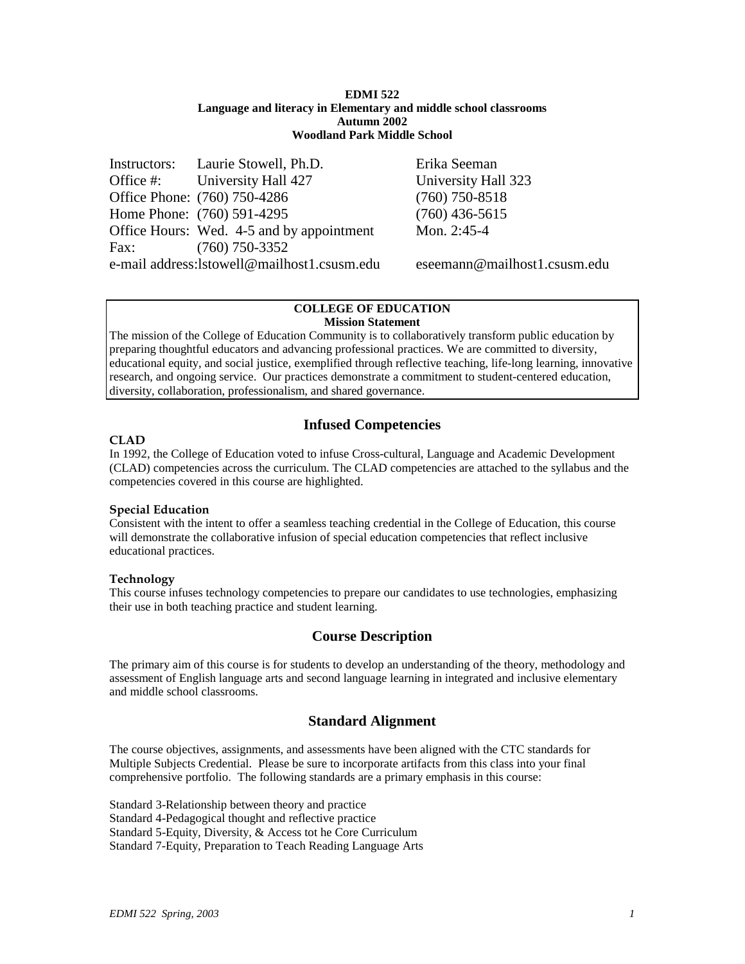### **EDMI 522 Language and literacy in Elementary and middle school classrooms Autumn 2002 Woodland Park Middle School**

Instructors: Laurie Stowell, Ph.D. Erika Seeman Office #: University Hall 427 University Hall 323 Office Phone: (760) 750-4286 (760) 750-8518 Home Phone: (760) 591-4295 (760) 436-5615 Office Hours: Wed. 4-5 and by appointment Mon. 2:45-4 Fax: (760) 750-3352 e-mail address:lstowell@mailhost1.csusm.edu eseemann@mailhost1.csusm.edu

#### **COLLEGE OF EDUCATION Mission Statement**

The mission of the College of Education Community is to collaboratively transform public education by preparing thoughtful educators and advancing professional practices. We are committed to diversity, educational equity, and social justice, exemplified through reflective teaching, life-long learning, innovative research, and ongoing service. Our practices demonstrate a commitment to student-centered education, diversity, collaboration, professionalism, and shared governance.

# **Infused Competencies**

## **CLAD**

In 1992, the College of Education voted to infuse Cross-cultural, Language and Academic Development (CLAD) competencies across the curriculum. The CLAD competencies are attached to the syllabus and the competencies covered in this course are highlighted.

## **Special Education**

Consistent with the intent to offer a seamless teaching credential in the College of Education, this course will demonstrate the collaborative infusion of special education competencies that reflect inclusive educational practices.

## **Technology**

This course infuses technology competencies to prepare our candidates to use technologies, emphasizing their use in both teaching practice and student learning.

# **Course Description**

The primary aim of this course is for students to develop an understanding of the theory, methodology and assessment of English language arts and second language learning in integrated and inclusive elementary and middle school classrooms.

# **Standard Alignment**

The course objectives, assignments, and assessments have been aligned with the CTC standards for Multiple Subjects Credential. Please be sure to incorporate artifacts from this class into your final comprehensive portfolio. The following standards are a primary emphasis in this course:

Standard 3-Relationship between theory and practice Standard 4-Pedagogical thought and reflective practice Standard 5-Equity, Diversity, & Access tot he Core Curriculum Standard 7-Equity, Preparation to Teach Reading Language Arts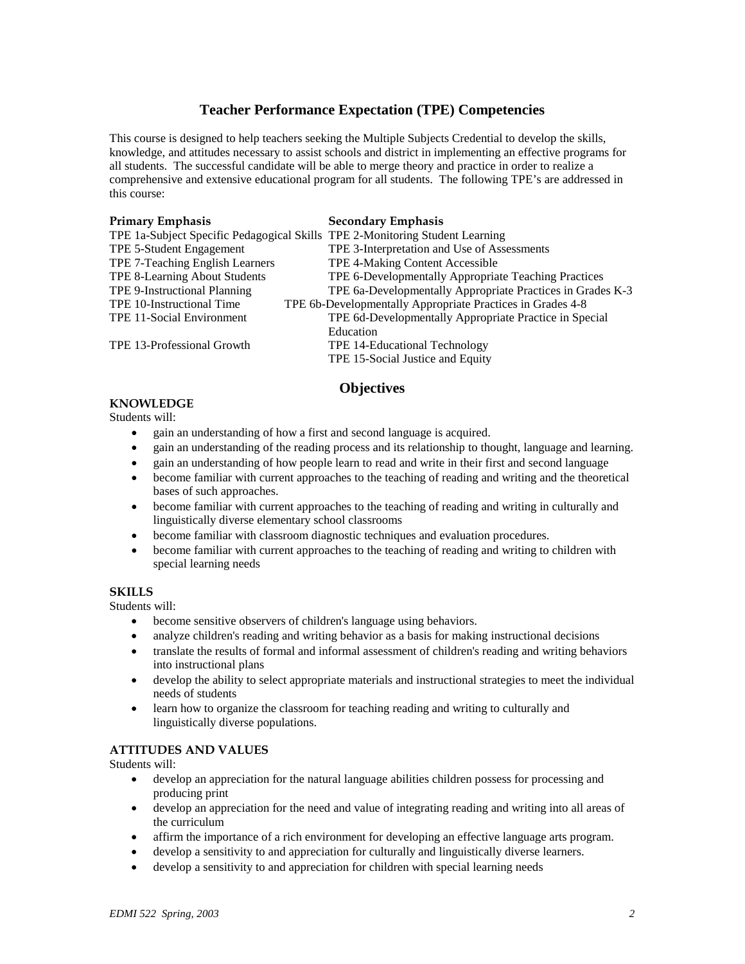# **Teacher Performance Expectation (TPE) Competencies**

This course is designed to help teachers seeking the Multiple Subjects Credential to develop the skills, knowledge, and attitudes necessary to assist schools and district in implementing an effective programs for all students. The successful candidate will be able to merge theory and practice in order to realize a comprehensive and extensive educational program for all students. The following TPE's are addressed in this course:

| <b>Primary Emphasis</b>                                                      | <b>Secondary Emphasis</b>                                  |
|------------------------------------------------------------------------------|------------------------------------------------------------|
| TPE 1a-Subject Specific Pedagogical Skills TPE 2-Monitoring Student Learning |                                                            |
| TPE 5-Student Engagement                                                     | TPE 3-Interpretation and Use of Assessments                |
| TPE 7-Teaching English Learners                                              | TPE 4-Making Content Accessible                            |
| TPE 8-Learning About Students                                                | TPE 6-Developmentally Appropriate Teaching Practices       |
| TPE 9-Instructional Planning                                                 | TPE 6a-Developmentally Appropriate Practices in Grades K-3 |
| TPE 10-Instructional Time                                                    | TPE 6b-Developmentally Appropriate Practices in Grades 4-8 |
| TPE 11-Social Environment                                                    | TPE 6d-Developmentally Appropriate Practice in Special     |
|                                                                              | Education                                                  |
| TPE 13-Professional Growth                                                   | TPE 14-Educational Technology                              |
|                                                                              | TPE 15-Social Justice and Equity                           |

# **Objectives**

## **KNOWLEDGE**

Students will:

- gain an understanding of how a first and second language is acquired.
- gain an understanding of the reading process and its relationship to thought, language and learning.
- gain an understanding of how people learn to read and write in their first and second language
- become familiar with current approaches to the teaching of reading and writing and the theoretical bases of such approaches.
- become familiar with current approaches to the teaching of reading and writing in culturally and linguistically diverse elementary school classrooms
- become familiar with classroom diagnostic techniques and evaluation procedures.
- become familiar with current approaches to the teaching of reading and writing to children with special learning needs

## **SKILLS**

Students will:

- become sensitive observers of children's language using behaviors.
- analyze children's reading and writing behavior as a basis for making instructional decisions
- translate the results of formal and informal assessment of children's reading and writing behaviors into instructional plans
- develop the ability to select appropriate materials and instructional strategies to meet the individual needs of students
- learn how to organize the classroom for teaching reading and writing to culturally and linguistically diverse populations.

## **ATTITUDES AND VALUES**

Students will:

- develop an appreciation for the natural language abilities children possess for processing and producing print
- develop an appreciation for the need and value of integrating reading and writing into all areas of the curriculum
- affirm the importance of a rich environment for developing an effective language arts program.
- develop a sensitivity to and appreciation for culturally and linguistically diverse learners.
- develop a sensitivity to and appreciation for children with special learning needs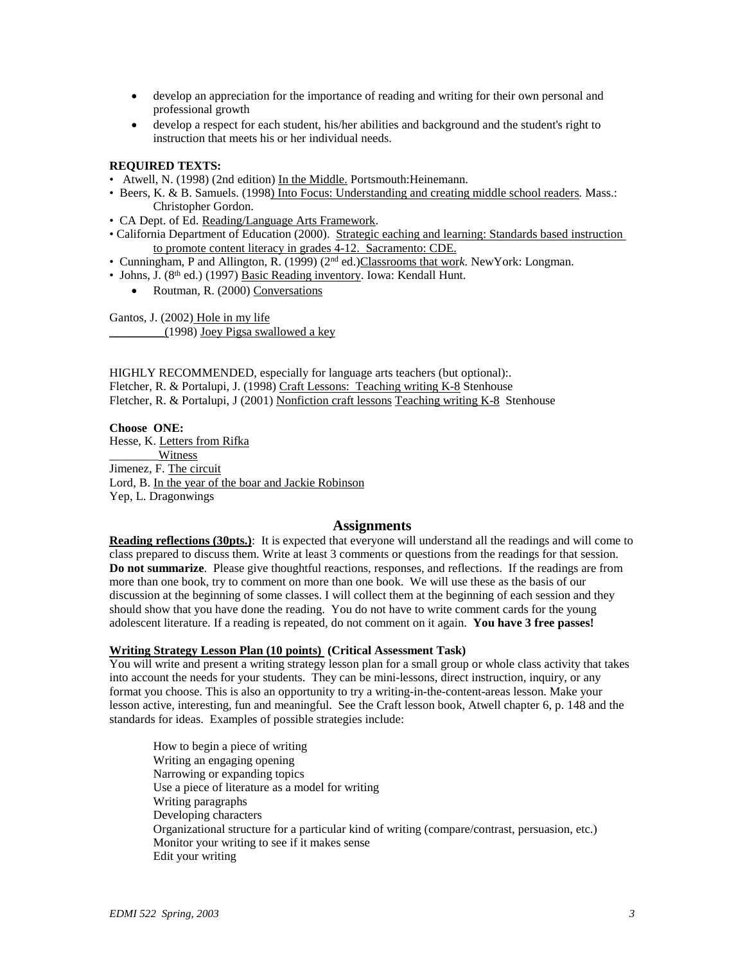- develop an appreciation for the importance of reading and writing for their own personal and professional growth
- develop a respect for each student, his/her abilities and background and the student's right to instruction that meets his or her individual needs.

### **REQUIRED TEXTS:**

- Atwell, N. (1998) (2nd edition) In the Middle. Portsmouth:Heinemann.
- Beers, K. & B. Samuels. (1998) Into Focus: Understanding and creating middle school readers*.* Mass.: Christopher Gordon.
- CA Dept. of Ed. Reading/Language Arts Framework.
- California Department of Education (2000). Strategic eaching and learning: Standards based instruction to promote content literacy in grades 4-12. Sacramento: CDE.
- Cunningham, P and Allington, R. (1999) (2nd ed.)Classrooms that wor*k.* NewYork: Longman.
- Johns, J. (8<sup>th</sup> ed.) (1997) Basic Reading inventory. Iowa: Kendall Hunt.
	- Routman, R. (2000) Conversations

Gantos, J. (2002) Hole in my life \_\_\_\_\_\_\_\_\_(1998) Joey Pigsa swallowed a key

HIGHLY RECOMMENDED, especially for language arts teachers (but optional):. Fletcher, R. & Portalupi, J. (1998) Craft Lessons: Teaching writing K-8 Stenhouse Fletcher, R. & Portalupi, J (2001) Nonfiction craft lessons Teaching writing K-8 Stenhouse

**Choose ONE:**  Hesse, K. Letters from Rifka Witness Jimenez, F. The circuit Lord, B. In the year of the boar and Jackie Robinson Yep, L. Dragonwings

### **Assignments**

**Reading reflections (30pts.)**: It is expected that everyone will understand all the readings and will come to class prepared to discuss them. Write at least 3 comments or questions from the readings for that session. **Do not summarize**. Please give thoughtful reactions, responses, and reflections. If the readings are from more than one book, try to comment on more than one book. We will use these as the basis of our discussion at the beginning of some classes. I will collect them at the beginning of each session and they should show that you have done the reading. You do not have to write comment cards for the young adolescent literature. If a reading is repeated, do not comment on it again. **You have 3 free passes!**

#### **Writing Strategy Lesson Plan (10 points) (Critical Assessment Task)**

You will write and present a writing strategy lesson plan for a small group or whole class activity that takes into account the needs for your students. They can be mini-lessons, direct instruction, inquiry, or any format you choose. This is also an opportunity to try a writing-in-the-content-areas lesson. Make your lesson active, interesting, fun and meaningful. See the Craft lesson book, Atwell chapter 6, p. 148 and the standards for ideas. Examples of possible strategies include:

How to begin a piece of writing Writing an engaging opening Narrowing or expanding topics Use a piece of literature as a model for writing Writing paragraphs Developing characters Organizational structure for a particular kind of writing (compare/contrast, persuasion, etc.) Monitor your writing to see if it makes sense Edit your writing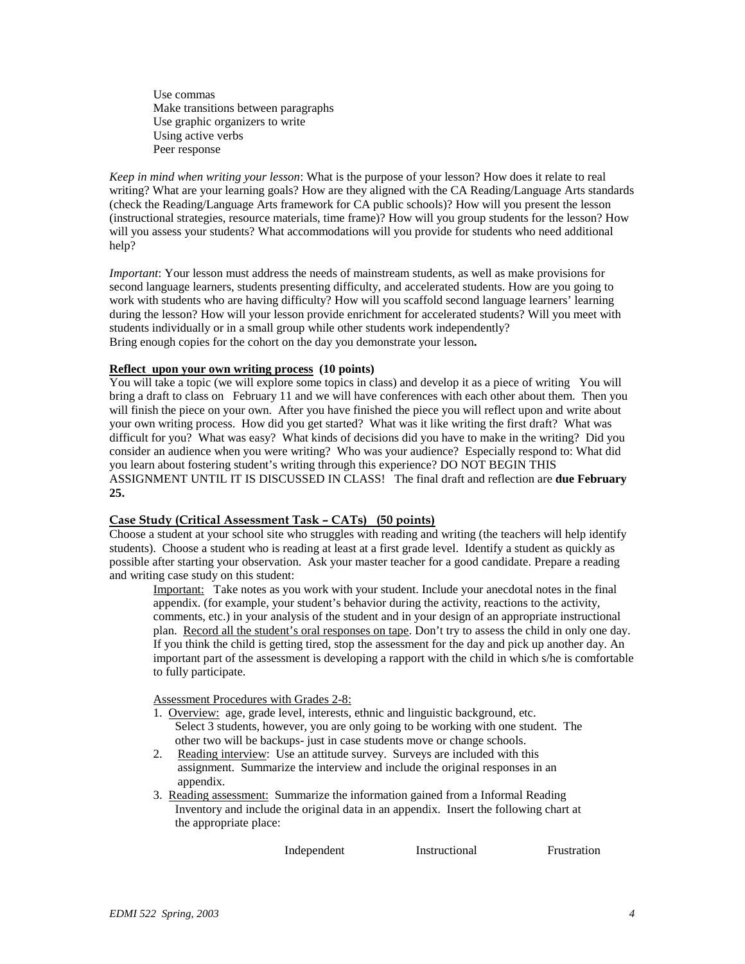Use commas Make transitions between paragraphs Use graphic organizers to write Using active verbs Peer response

*Keep in mind when writing your lesson*: What is the purpose of your lesson? How does it relate to real writing? What are your learning goals? How are they aligned with the CA Reading/Language Arts standards (check the Reading/Language Arts framework for CA public schools)? How will you present the lesson (instructional strategies, resource materials, time frame)? How will you group students for the lesson? How will you assess your students? What accommodations will you provide for students who need additional help?

*Important*: Your lesson must address the needs of mainstream students, as well as make provisions for second language learners, students presenting difficulty, and accelerated students. How are you going to work with students who are having difficulty? How will you scaffold second language learners' learning during the lesson? How will your lesson provide enrichment for accelerated students? Will you meet with students individually or in a small group while other students work independently? Bring enough copies for the cohort on the day you demonstrate your lesson**.**

### **Reflect upon your own writing process (10 points)**

You will take a topic (we will explore some topics in class) and develop it as a piece of writing You will bring a draft to class on February 11 and we will have conferences with each other about them. Then you will finish the piece on your own. After you have finished the piece you will reflect upon and write about your own writing process. How did you get started? What was it like writing the first draft? What was difficult for you? What was easy? What kinds of decisions did you have to make in the writing? Did you consider an audience when you were writing? Who was your audience? Especially respond to: What did you learn about fostering student's writing through this experience? DO NOT BEGIN THIS ASSIGNMENT UNTIL IT IS DISCUSSED IN CLASS! The final draft and reflection are **due February 25.**

## **Case Study (Critical Assessment Task – CATs) (50 points)**

Choose a student at your school site who struggles with reading and writing (the teachers will help identify students). Choose a student who is reading at least at a first grade level. Identify a student as quickly as possible after starting your observation. Ask your master teacher for a good candidate. Prepare a reading and writing case study on this student:

Important: Take notes as you work with your student. Include your anecdotal notes in the final appendix. (for example, your student's behavior during the activity, reactions to the activity, comments, etc.) in your analysis of the student and in your design of an appropriate instructional plan. Record all the student's oral responses on tape. Don't try to assess the child in only one day. If you think the child is getting tired, stop the assessment for the day and pick up another day. An important part of the assessment is developing a rapport with the child in which s/he is comfortable to fully participate.

Assessment Procedures with Grades 2-8:

- 1. Overview: age, grade level, interests, ethnic and linguistic background, etc. Select 3 students, however, you are only going to be working with one student. The other two will be backups- just in case students move or change schools.
- 2. Reading interview: Use an attitude survey. Surveys are included with this assignment. Summarize the interview and include the original responses in an appendix.
- 3. Reading assessment: Summarize the information gained from a Informal Reading Inventory and include the original data in an appendix. Insert the following chart at the appropriate place:

Independent Instructional Frustration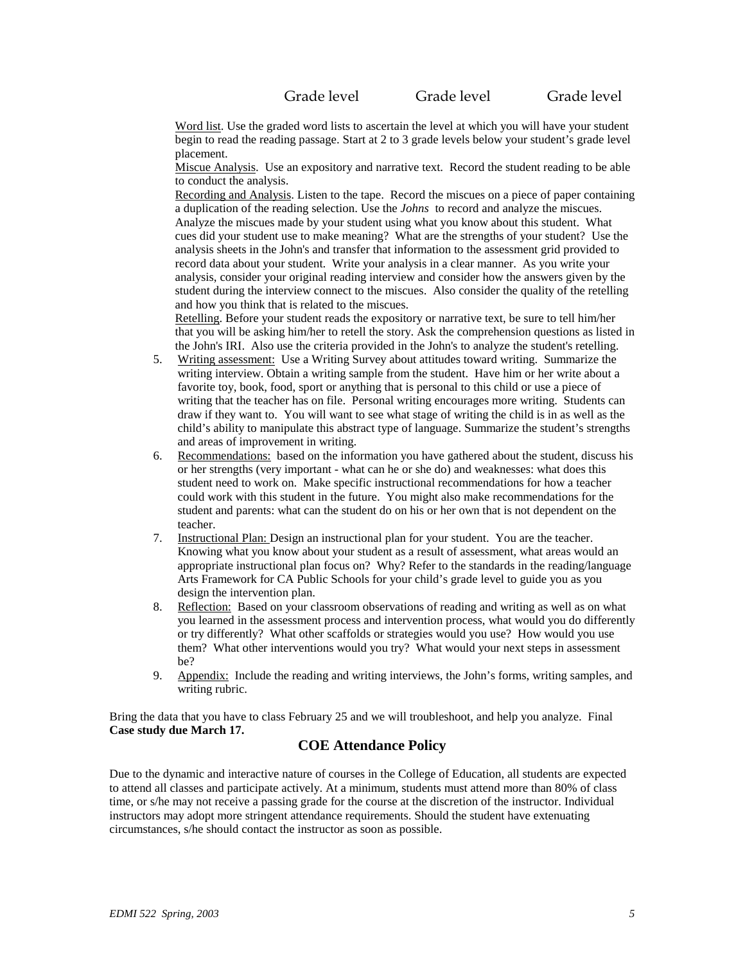Grade level Grade level Grade level

Word list. Use the graded word lists to ascertain the level at which you will have your student begin to read the reading passage. Start at 2 to 3 grade levels below your student's grade level placement.

Miscue Analysis. Use an expository and narrative text. Record the student reading to be able to conduct the analysis.

Recording and Analysis. Listen to the tape. Record the miscues on a piece of paper containing a duplication of the reading selection. Use the *Johns* to record and analyze the miscues. Analyze the miscues made by your student using what you know about this student. What cues did your student use to make meaning? What are the strengths of your student? Use the analysis sheets in the John's and transfer that information to the assessment grid provided to record data about your student. Write your analysis in a clear manner. As you write your analysis, consider your original reading interview and consider how the answers given by the student during the interview connect to the miscues. Also consider the quality of the retelling and how you think that is related to the miscues.

Retelling. Before your student reads the expository or narrative text, be sure to tell him/her that you will be asking him/her to retell the story. Ask the comprehension questions as listed in the John's IRI. Also use the criteria provided in the John's to analyze the student's retelling.

- 5. Writing assessment: Use a Writing Survey about attitudes toward writing. Summarize the writing interview. Obtain a writing sample from the student. Have him or her write about a favorite toy, book, food, sport or anything that is personal to this child or use a piece of writing that the teacher has on file. Personal writing encourages more writing. Students can draw if they want to. You will want to see what stage of writing the child is in as well as the child's ability to manipulate this abstract type of language. Summarize the student's strengths and areas of improvement in writing.
- 6. Recommendations: based on the information you have gathered about the student, discuss his or her strengths (very important - what can he or she do) and weaknesses: what does this student need to work on. Make specific instructional recommendations for how a teacher could work with this student in the future. You might also make recommendations for the student and parents: what can the student do on his or her own that is not dependent on the teacher.
- 7. Instructional Plan: Design an instructional plan for your student. You are the teacher. Knowing what you know about your student as a result of assessment, what areas would an appropriate instructional plan focus on? Why? Refer to the standards in the reading/language Arts Framework for CA Public Schools for your child's grade level to guide you as you design the intervention plan.
- 8. Reflection: Based on your classroom observations of reading and writing as well as on what you learned in the assessment process and intervention process, what would you do differently or try differently? What other scaffolds or strategies would you use? How would you use them? What other interventions would you try? What would your next steps in assessment be?
- 9. Appendix: Include the reading and writing interviews, the John's forms, writing samples, and writing rubric.

Bring the data that you have to class February 25 and we will troubleshoot, and help you analyze. Final **Case study due March 17.**

## **COE Attendance Policy**

Due to the dynamic and interactive nature of courses in the College of Education, all students are expected to attend all classes and participate actively. At a minimum, students must attend more than 80% of class time, or s/he may not receive a passing grade for the course at the discretion of the instructor. Individual instructors may adopt more stringent attendance requirements. Should the student have extenuating circumstances, s/he should contact the instructor as soon as possible.